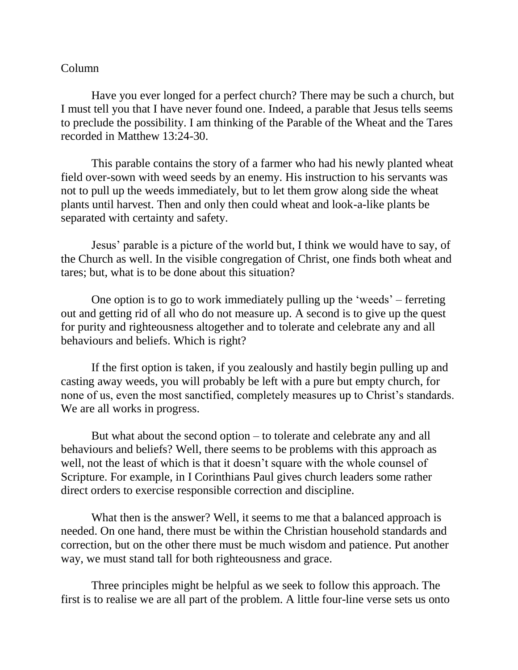## Column

Have you ever longed for a perfect church? There may be such a church, but I must tell you that I have never found one. Indeed, a parable that Jesus tells seems to preclude the possibility. I am thinking of the Parable of the Wheat and the Tares recorded in Matthew 13:24-30.

This parable contains the story of a farmer who had his newly planted wheat field over-sown with weed seeds by an enemy. His instruction to his servants was not to pull up the weeds immediately, but to let them grow along side the wheat plants until harvest. Then and only then could wheat and look-a-like plants be separated with certainty and safety.

Jesus' parable is a picture of the world but, I think we would have to say, of the Church as well. In the visible congregation of Christ, one finds both wheat and tares; but, what is to be done about this situation?

One option is to go to work immediately pulling up the 'weeds' – ferreting out and getting rid of all who do not measure up. A second is to give up the quest for purity and righteousness altogether and to tolerate and celebrate any and all behaviours and beliefs. Which is right?

If the first option is taken, if you zealously and hastily begin pulling up and casting away weeds, you will probably be left with a pure but empty church, for none of us, even the most sanctified, completely measures up to Christ's standards. We are all works in progress.

But what about the second option – to tolerate and celebrate any and all behaviours and beliefs? Well, there seems to be problems with this approach as well, not the least of which is that it doesn't square with the whole counsel of Scripture. For example, in I Corinthians Paul gives church leaders some rather direct orders to exercise responsible correction and discipline.

What then is the answer? Well, it seems to me that a balanced approach is needed. On one hand, there must be within the Christian household standards and correction, but on the other there must be much wisdom and patience. Put another way, we must stand tall for both righteousness and grace.

Three principles might be helpful as we seek to follow this approach. The first is to realise we are all part of the problem. A little four-line verse sets us onto